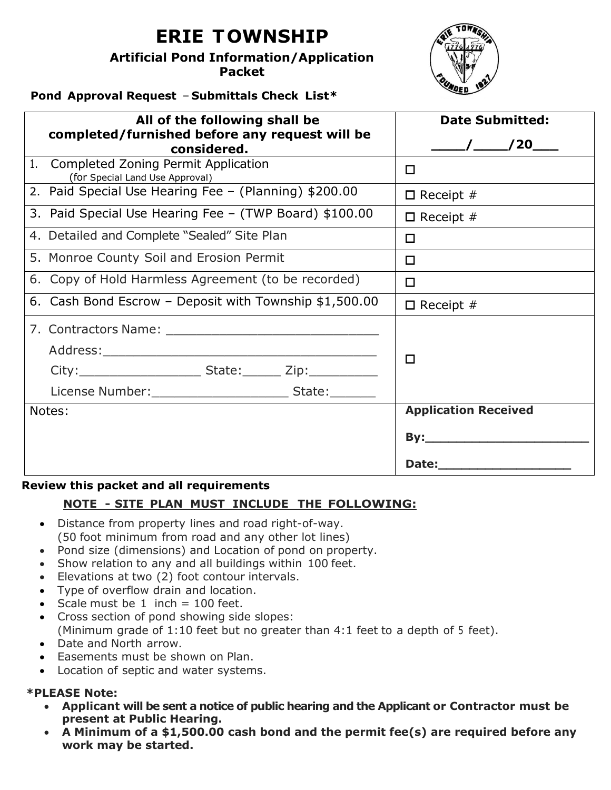# **ERIE TOWNSHIP**

**Artificial Pond Information/Application Packet** 



# **Pond Approval Request** – **Submittals Check List\***

| All of the following shall be                          | <b>Date Submitted:</b>      |  |  |
|--------------------------------------------------------|-----------------------------|--|--|
| completed/furnished before any request will be         |                             |  |  |
| considered.                                            |                             |  |  |
| 1 <sub>1</sub><br>Completed Zoning Permit Application  | $\Box$                      |  |  |
| (for Special Land Use Approval)                        |                             |  |  |
| 2. Paid Special Use Hearing Fee - (Planning) \$200.00  | $\Box$ Receipt #            |  |  |
| 3. Paid Special Use Hearing Fee - (TWP Board) \$100.00 | $\Box$ Receipt #            |  |  |
| 4. Detailed and Complete "Sealed" Site Plan            | $\Box$                      |  |  |
| 5. Monroe County Soil and Erosion Permit               | $\Box$                      |  |  |
| 6. Copy of Hold Harmless Agreement (to be recorded)    | $\Box$                      |  |  |
| 6. Cash Bond Escrow - Deposit with Township \$1,500.00 | $\Box$ Receipt #            |  |  |
|                                                        |                             |  |  |
|                                                        | $\Box$                      |  |  |
|                                                        |                             |  |  |
|                                                        |                             |  |  |
| Notes:                                                 | <b>Application Received</b> |  |  |
|                                                        |                             |  |  |
|                                                        |                             |  |  |

#### **Review this packet and all requirements**

# **NOTE - SITE PLAN MUST INCLUDE THE FOLLOWING:**

- Distance from property lines and road right-of-way. (50 foot minimum from road and any other lot lines)
- Pond size (dimensions) and Location of pond on property.
- Show relation to any and all buildings within 100 feet.
- Elevations at two (2) foot contour intervals.
- Type of overflow drain and location.
- Scale must be  $1$  inch = 100 feet.
- Cross section of pond showing side slopes: (Minimum grade of 1:10 feet but no greater than 4:1 feet to a depth of 5 feet).
- Date and North arrow.
- Easements must be shown on Plan.
- Location of septic and water systems.

# **\*PLEASE Note:**

- **Applicant will be sent a notice of public hearing and the Applicant or Contractor must be present at Public Hearing.**
- **A Minimum of a \$1,500.00 cash bond and the permit fee(s) are required before any work may be started.**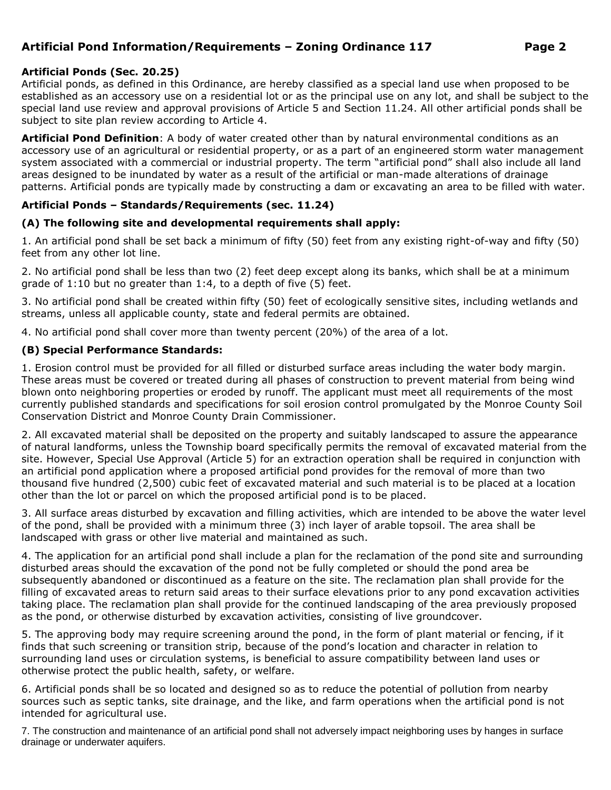# **Artificial Pond Information/Requirements – Zoning Ordinance 117 Page 2**

#### **Artificial Ponds (Sec. 20.25)**

Artificial ponds, as defined in this Ordinance, are hereby classified as a special land use when proposed to be established as an accessory use on a residential lot or as the principal use on any lot, and shall be subject to the special land use review and approval provisions of Article 5 and Section 11.24. All other artificial ponds shall be subject to site plan review according to Article 4.

**Artificial Pond Definition**: A body of water created other than by natural environmental conditions as an accessory use of an agricultural or residential property, or as a part of an engineered storm water management system associated with a commercial or industrial property. The term "artificial pond" shall also include all land areas designed to be inundated by water as a result of the artificial or man-made alterations of drainage patterns. Artificial ponds are typically made by constructing a dam or excavating an area to be filled with water.

#### **Artificial Ponds – Standards/Requirements (sec. 11.24)**

#### **(A) The following site and developmental requirements shall apply:**

1. An artificial pond shall be set back a minimum of fifty (50) feet from any existing right-of-way and fifty (50) feet from any other lot line.

2. No artificial pond shall be less than two (2) feet deep except along its banks, which shall be at a minimum grade of 1:10 but no greater than 1:4, to a depth of five (5) feet.

3. No artificial pond shall be created within fifty (50) feet of ecologically sensitive sites, including wetlands and streams, unless all applicable county, state and federal permits are obtained.

4. No artificial pond shall cover more than twenty percent (20%) of the area of a lot.

#### **(B) Special Performance Standards:**

1. Erosion control must be provided for all filled or disturbed surface areas including the water body margin. These areas must be covered or treated during all phases of construction to prevent material from being wind blown onto neighboring properties or eroded by runoff. The applicant must meet all requirements of the most currently published standards and specifications for soil erosion control promulgated by the Monroe County Soil Conservation District and Monroe County Drain Commissioner.

2. All excavated material shall be deposited on the property and suitably landscaped to assure the appearance of natural landforms, unless the Township board specifically permits the removal of excavated material from the site. However, Special Use Approval (Article 5) for an extraction operation shall be required in conjunction with an artificial pond application where a proposed artificial pond provides for the removal of more than two thousand five hundred (2,500) cubic feet of excavated material and such material is to be placed at a location other than the lot or parcel on which the proposed artificial pond is to be placed.

3. All surface areas disturbed by excavation and filling activities, which are intended to be above the water level of the pond, shall be provided with a minimum three (3) inch layer of arable topsoil. The area shall be landscaped with grass or other live material and maintained as such.

4. The application for an artificial pond shall include a plan for the reclamation of the pond site and surrounding disturbed areas should the excavation of the pond not be fully completed or should the pond area be subsequently abandoned or discontinued as a feature on the site. The reclamation plan shall provide for the filling of excavated areas to return said areas to their surface elevations prior to any pond excavation activities taking place. The reclamation plan shall provide for the continued landscaping of the area previously proposed as the pond, or otherwise disturbed by excavation activities, consisting of live groundcover.

5. The approving body may require screening around the pond, in the form of plant material or fencing, if it finds that such screening or transition strip, because of the pond's location and character in relation to surrounding land uses or circulation systems, is beneficial to assure compatibility between land uses or otherwise protect the public health, safety, or welfare.

6. Artificial ponds shall be so located and designed so as to reduce the potential of pollution from nearby sources such as septic tanks, site drainage, and the like, and farm operations when the artificial pond is not intended for agricultural use.

7. The construction and maintenance of an artificial pond shall not adversely impact neighboring uses by hanges in surface drainage or underwater aquifers.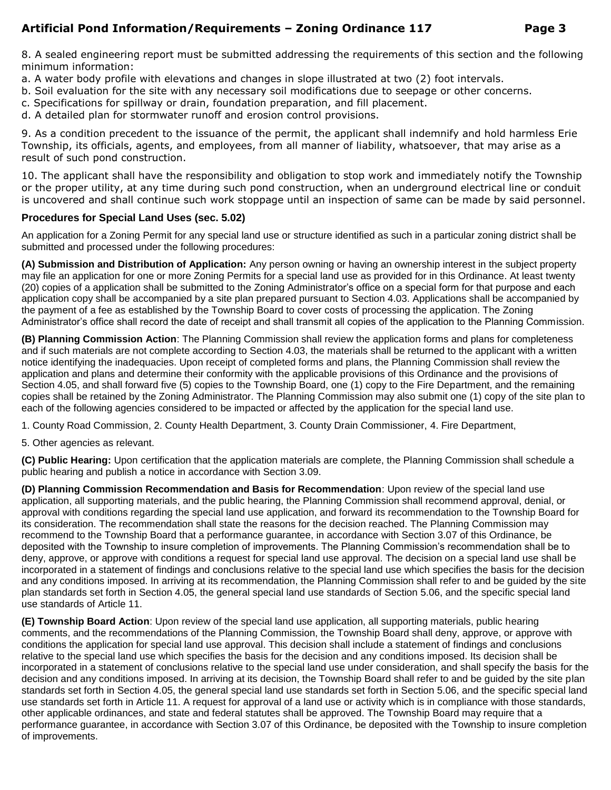### **Artificial Pond Information/Requirements – Zoning Ordinance 117 Page 3**

8. A sealed engineering report must be submitted addressing the requirements of this section and the following minimum information:

- a. A water body profile with elevations and changes in slope illustrated at two (2) foot intervals.
- b. Soil evaluation for the site with any necessary soil modifications due to seepage or other concerns.
- c. Specifications for spillway or drain, foundation preparation, and fill placement.
- d. A detailed plan for stormwater runoff and erosion control provisions.

9. As a condition precedent to the issuance of the permit, the applicant shall indemnify and hold harmless Erie Township, its officials, agents, and employees, from all manner of liability, whatsoever, that may arise as a result of such pond construction.

10. The applicant shall have the responsibility and obligation to stop work and immediately notify the Township or the proper utility, at any time during such pond construction, when an underground electrical line or conduit is uncovered and shall continue such work stoppage until an inspection of same can be made by said personnel.

#### **Procedures for Special Land Uses (sec. 5.02)**

An application for a Zoning Permit for any special land use or structure identified as such in a particular zoning district shall be submitted and processed under the following procedures:

**(A) Submission and Distribution of Application:** Any person owning or having an ownership interest in the subject property may file an application for one or more Zoning Permits for a special land use as provided for in this Ordinance. At least twenty (20) copies of a application shall be submitted to the Zoning Administrator's office on a special form for that purpose and each application copy shall be accompanied by a site plan prepared pursuant to Section 4.03. Applications shall be accompanied by the payment of a fee as established by the Township Board to cover costs of processing the application. The Zoning Administrator's office shall record the date of receipt and shall transmit all copies of the application to the Planning Commission.

**(B) Planning Commission Action**: The Planning Commission shall review the application forms and plans for completeness and if such materials are not complete according to Section 4.03, the materials shall be returned to the applicant with a written notice identifying the inadequacies. Upon receipt of completed forms and plans, the Planning Commission shall review the application and plans and determine their conformity with the applicable provisions of this Ordinance and the provisions of Section 4.05, and shall forward five (5) copies to the Township Board, one (1) copy to the Fire Department, and the remaining copies shall be retained by the Zoning Administrator. The Planning Commission may also submit one (1) copy of the site plan to each of the following agencies considered to be impacted or affected by the application for the special land use.

1. County Road Commission, 2. County Health Department, 3. County Drain Commissioner, 4. Fire Department,

5. Other agencies as relevant.

**(C) Public Hearing:** Upon certification that the application materials are complete, the Planning Commission shall schedule a public hearing and publish a notice in accordance with Section 3.09.

**(D) Planning Commission Recommendation and Basis for Recommendation**: Upon review of the special land use application, all supporting materials, and the public hearing, the Planning Commission shall recommend approval, denial, or approval with conditions regarding the special land use application, and forward its recommendation to the Township Board for its consideration. The recommendation shall state the reasons for the decision reached. The Planning Commission may recommend to the Township Board that a performance guarantee, in accordance with Section 3.07 of this Ordinance, be deposited with the Township to insure completion of improvements. The Planning Commission's recommendation shall be to deny, approve, or approve with conditions a request for special land use approval. The decision on a special land use shall be incorporated in a statement of findings and conclusions relative to the special land use which specifies the basis for the decision and any conditions imposed. In arriving at its recommendation, the Planning Commission shall refer to and be guided by the site plan standards set forth in Section 4.05, the general special land use standards of Section 5.06, and the specific special land use standards of Article 11.

**(E) Township Board Action**: Upon review of the special land use application, all supporting materials, public hearing comments, and the recommendations of the Planning Commission, the Township Board shall deny, approve, or approve with conditions the application for special land use approval. This decision shall include a statement of findings and conclusions relative to the special land use which specifies the basis for the decision and any conditions imposed. Its decision shall be incorporated in a statement of conclusions relative to the special land use under consideration, and shall specify the basis for the decision and any conditions imposed. In arriving at its decision, the Township Board shall refer to and be guided by the site plan standards set forth in Section 4.05, the general special land use standards set forth in Section 5.06, and the specific special land use standards set forth in Article 11. A request for approval of a land use or activity which is in compliance with those standards, other applicable ordinances, and state and federal statutes shall be approved. The Township Board may require that a performance guarantee, in accordance with Section 3.07 of this Ordinance, be deposited with the Township to insure completion of improvements.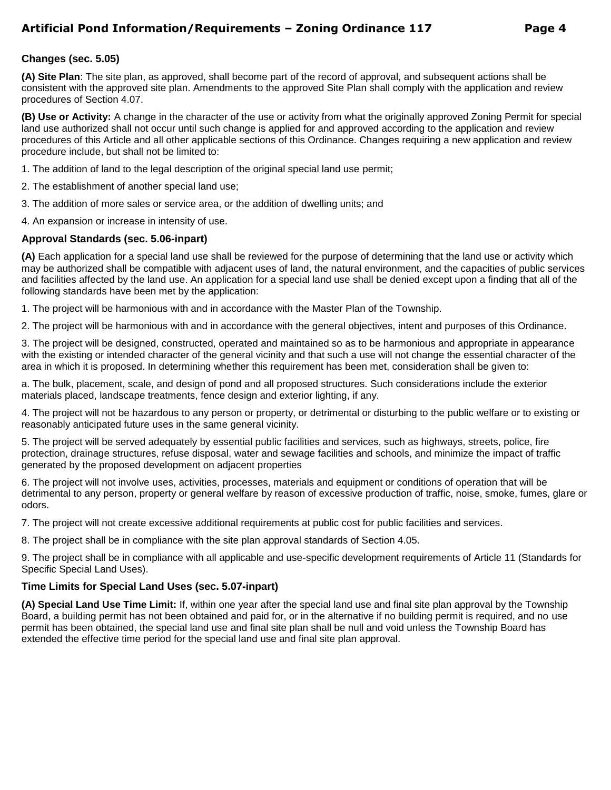# **Artificial Pond Information/Requirements – Zoning Ordinance 117 Page 4**

#### **Changes (sec. 5.05)**

**(A) Site Plan**: The site plan, as approved, shall become part of the record of approval, and subsequent actions shall be consistent with the approved site plan. Amendments to the approved Site Plan shall comply with the application and review procedures of Section 4.07.

**(B) Use or Activity:** A change in the character of the use or activity from what the originally approved Zoning Permit for special land use authorized shall not occur until such change is applied for and approved according to the application and review procedures of this Article and all other applicable sections of this Ordinance. Changes requiring a new application and review procedure include, but shall not be limited to:

- 1. The addition of land to the legal description of the original special land use permit;
- 2. The establishment of another special land use;
- 3. The addition of more sales or service area, or the addition of dwelling units; and
- 4. An expansion or increase in intensity of use.

#### **Approval Standards (sec. 5.06-inpart)**

**(A)** Each application for a special land use shall be reviewed for the purpose of determining that the land use or activity which may be authorized shall be compatible with adjacent uses of land, the natural environment, and the capacities of public services and facilities affected by the land use. An application for a special land use shall be denied except upon a finding that all of the following standards have been met by the application:

1. The project will be harmonious with and in accordance with the Master Plan of the Township.

2. The project will be harmonious with and in accordance with the general objectives, intent and purposes of this Ordinance.

3. The project will be designed, constructed, operated and maintained so as to be harmonious and appropriate in appearance with the existing or intended character of the general vicinity and that such a use will not change the essential character of the area in which it is proposed. In determining whether this requirement has been met, consideration shall be given to:

a. The bulk, placement, scale, and design of pond and all proposed structures. Such considerations include the exterior materials placed, landscape treatments, fence design and exterior lighting, if any.

4. The project will not be hazardous to any person or property, or detrimental or disturbing to the public welfare or to existing or reasonably anticipated future uses in the same general vicinity.

5. The project will be served adequately by essential public facilities and services, such as highways, streets, police, fire protection, drainage structures, refuse disposal, water and sewage facilities and schools, and minimize the impact of traffic generated by the proposed development on adjacent properties

6. The project will not involve uses, activities, processes, materials and equipment or conditions of operation that will be detrimental to any person, property or general welfare by reason of excessive production of traffic, noise, smoke, fumes, glare or odors.

7. The project will not create excessive additional requirements at public cost for public facilities and services.

8. The project shall be in compliance with the site plan approval standards of Section 4.05.

9. The project shall be in compliance with all applicable and use-specific development requirements of Article 11 (Standards for Specific Special Land Uses).

#### **Time Limits for Special Land Uses (sec. 5.07-inpart)**

**(A) Special Land Use Time Limit:** If, within one year after the special land use and final site plan approval by the Township Board, a building permit has not been obtained and paid for, or in the alternative if no building permit is required, and no use permit has been obtained, the special land use and final site plan shall be null and void unless the Township Board has extended the effective time period for the special land use and final site plan approval.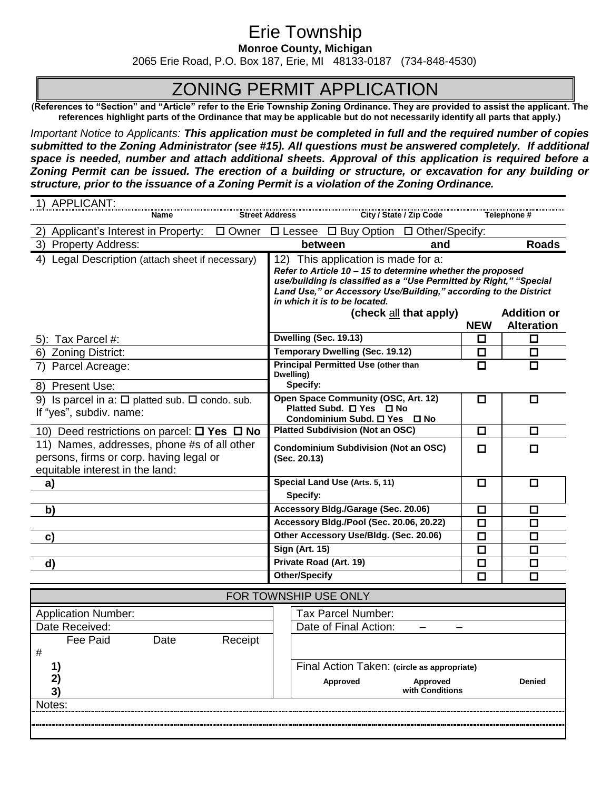# Erie Township

**Monroe County, Michigan**

2065 Erie Road, P.O. Box 187, Erie, MI 48133-0187 (734-848-4530)

# ZONING PERMIT APPLICATION

**(References to "Section" and "Article" refer to the Erie Township Zoning Ordinance. They are provided to assist the applicant. The references highlight parts of the Ordinance that may be applicable but do not necessarily identify all parts that apply.)**

*Important Notice to Applicants: This application must be completed in full and the required number of copies submitted to the Zoning Administrator (see #15). All questions must be answered completely. If additional space is needed, number and attach additional sheets. Approval of this application is required before a Zoning Permit can be issued. The erection of a building or structure, or excavation for any building or structure, prior to the issuance of a Zoning Permit is a violation of the Zoning Ordinance.* 

|                                                                                                                           | 1) APPLICANT:                                                                                                                                                                                 |                                                             |         |                                                                                                                                                                                                                                                                              |                                                |                         |             |                    |  |
|---------------------------------------------------------------------------------------------------------------------------|-----------------------------------------------------------------------------------------------------------------------------------------------------------------------------------------------|-------------------------------------------------------------|---------|------------------------------------------------------------------------------------------------------------------------------------------------------------------------------------------------------------------------------------------------------------------------------|------------------------------------------------|-------------------------|-------------|--------------------|--|
|                                                                                                                           |                                                                                                                                                                                               | Name                                                        |         | <b>Street Address</b>                                                                                                                                                                                                                                                        |                                                | City / State / Zip Code |             | Telephone #        |  |
|                                                                                                                           | 2) Applicant's Interest in Property:                                                                                                                                                          |                                                             |         |                                                                                                                                                                                                                                                                              | □ Owner □ Lessee □ Buy Option □ Other/Specify: |                         |             |                    |  |
|                                                                                                                           | 3) Property Address:                                                                                                                                                                          |                                                             |         |                                                                                                                                                                                                                                                                              | between<br>and                                 |                         |             | <b>Roads</b>       |  |
|                                                                                                                           | 4) Legal Description (attach sheet if necessary)                                                                                                                                              |                                                             |         | 12) This application is made for a:<br>Refer to Article 10 - 15 to determine whether the proposed<br>use/building is classified as a "Use Permitted by Right," "Special<br>Land Use," or Accessory Use/Building," according to the District<br>in which it is to be located. |                                                |                         |             |                    |  |
|                                                                                                                           |                                                                                                                                                                                               |                                                             |         |                                                                                                                                                                                                                                                                              | (check all that apply)                         |                         |             | <b>Addition or</b> |  |
|                                                                                                                           |                                                                                                                                                                                               |                                                             |         |                                                                                                                                                                                                                                                                              |                                                |                         | <b>NEW</b>  | <b>Alteration</b>  |  |
|                                                                                                                           | 5): Tax Parcel #:                                                                                                                                                                             |                                                             |         | Dwelling (Sec. 19.13)<br><b>Temporary Dwelling (Sec. 19.12)</b>                                                                                                                                                                                                              |                                                |                         | □<br>$\Box$ | $\Box$<br>$\Box$   |  |
| 7)                                                                                                                        | 6) Zoning District:<br>Parcel Acreage:                                                                                                                                                        |                                                             |         | <b>Principal Permitted Use (other than</b>                                                                                                                                                                                                                                   |                                                |                         | $\Box$      | $\Box$             |  |
|                                                                                                                           | Dwelling)                                                                                                                                                                                     |                                                             |         |                                                                                                                                                                                                                                                                              |                                                |                         |             |                    |  |
|                                                                                                                           | 8) Present Use:                                                                                                                                                                               |                                                             |         | Specify:                                                                                                                                                                                                                                                                     |                                                |                         |             |                    |  |
|                                                                                                                           | Open Space Community (OSC, Art. 12)<br>9) Is parcel in a: $\square$ platted sub. $\square$ condo. sub.<br>Platted Subd. □ Yes □ No<br>If "yes", subdiv. name:<br>Condominium Subd. □ Yes □ No |                                                             |         | $\Box$                                                                                                                                                                                                                                                                       | ◻                                              |                         |             |                    |  |
|                                                                                                                           | 10) Deed restrictions on parcel: $\Box$ Yes $\Box$ No                                                                                                                                         |                                                             |         | <b>Platted Subdivision (Not an OSC)</b>                                                                                                                                                                                                                                      |                                                | $\Box$                  | $\Box$      |                    |  |
| 11) Names, addresses, phone #s of all other<br>persons, firms or corp. having legal or<br>equitable interest in the land: |                                                                                                                                                                                               | <b>Condominium Subdivision (Not an OSC)</b><br>(Sec. 20.13) |         |                                                                                                                                                                                                                                                                              | $\Box$                                         | $\Box$                  |             |                    |  |
|                                                                                                                           | a)                                                                                                                                                                                            |                                                             |         | Special Land Use (Arts. 5, 11)                                                                                                                                                                                                                                               |                                                |                         | 口           | □                  |  |
|                                                                                                                           |                                                                                                                                                                                               |                                                             |         | Specify:                                                                                                                                                                                                                                                                     |                                                |                         |             |                    |  |
|                                                                                                                           | b)                                                                                                                                                                                            |                                                             |         | Accessory Bldg./Garage (Sec. 20.06)                                                                                                                                                                                                                                          |                                                |                         | $\Box$      | □                  |  |
|                                                                                                                           |                                                                                                                                                                                               |                                                             |         | Accessory Bldg./Pool (Sec. 20.06, 20.22)                                                                                                                                                                                                                                     |                                                |                         | $\Box$      | $\Box$             |  |
|                                                                                                                           | C)                                                                                                                                                                                            |                                                             |         | Other Accessory Use/Bldg. (Sec. 20.06)                                                                                                                                                                                                                                       |                                                |                         | $\Box$      | $\Box$             |  |
|                                                                                                                           |                                                                                                                                                                                               |                                                             |         | <b>Sign (Art. 15)</b>                                                                                                                                                                                                                                                        |                                                |                         | $\Box$      | $\Box$             |  |
|                                                                                                                           | d)                                                                                                                                                                                            |                                                             |         | Private Road (Art. 19)                                                                                                                                                                                                                                                       |                                                |                         | $\Box$      | $\Box$             |  |
|                                                                                                                           | <b>Other/Specify</b>                                                                                                                                                                          |                                                             |         |                                                                                                                                                                                                                                                                              |                                                |                         | $\Box$      | $\Box$             |  |
| FOR TOWNSHIP USE ONLY                                                                                                     |                                                                                                                                                                                               |                                                             |         |                                                                                                                                                                                                                                                                              |                                                |                         |             |                    |  |
|                                                                                                                           | <b>Application Number:</b>                                                                                                                                                                    |                                                             |         |                                                                                                                                                                                                                                                                              | Tax Parcel Number:                             |                         |             |                    |  |
|                                                                                                                           | Date Received:                                                                                                                                                                                |                                                             |         | Date of Final Action:                                                                                                                                                                                                                                                        |                                                |                         |             |                    |  |
| $\#$                                                                                                                      | Fee Paid                                                                                                                                                                                      | Date                                                        | Receipt |                                                                                                                                                                                                                                                                              |                                                |                         |             |                    |  |
|                                                                                                                           | 1)                                                                                                                                                                                            |                                                             |         | Final Action Taken: (circle as appropriate)                                                                                                                                                                                                                                  |                                                |                         |             |                    |  |
|                                                                                                                           | 2)<br>3)                                                                                                                                                                                      |                                                             |         | Approved<br>Approved<br>with Conditions                                                                                                                                                                                                                                      |                                                |                         |             | Denied             |  |
| Notes:                                                                                                                    |                                                                                                                                                                                               |                                                             |         |                                                                                                                                                                                                                                                                              |                                                |                         |             |                    |  |
|                                                                                                                           |                                                                                                                                                                                               |                                                             |         |                                                                                                                                                                                                                                                                              |                                                |                         |             |                    |  |